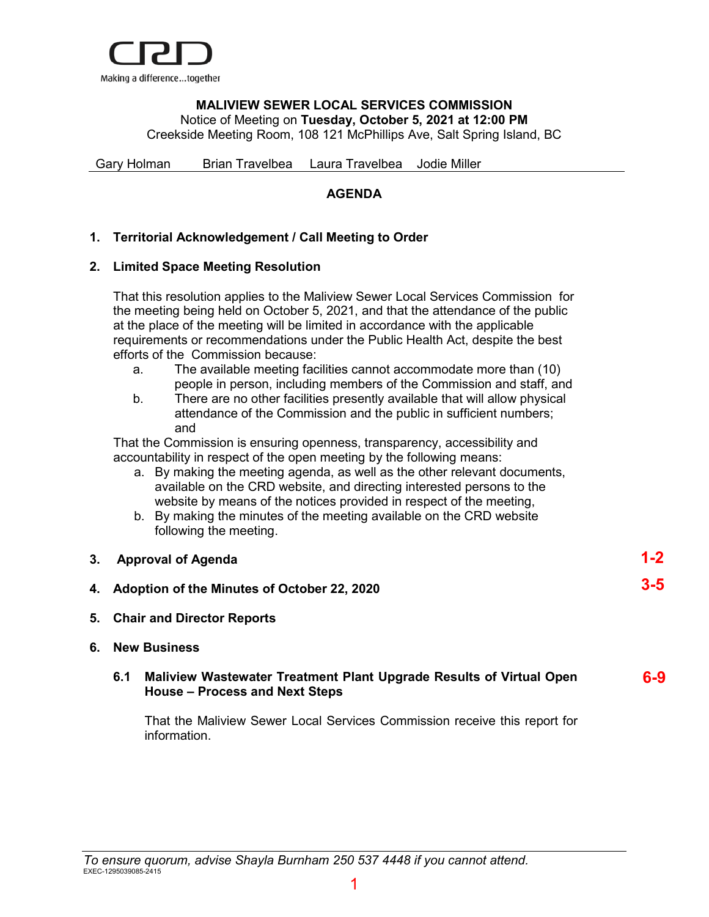

## **MALIVIEW SEWER LOCAL SERVICES COMMISSION** Notice of Meeting on **Tuesday, October 5, 2021 at 12:00 PM**

Creekside Meeting Room, 108 121 McPhillips Ave, Salt Spring Island, BC

Gary Holman Brian Travelbea Laura Travelbea Jodie Miller

## **AGENDA**

## **1. Territorial Acknowledgement / Call Meeting to Order**

## **2. Limited Space Meeting Resolution**

That this resolution applies to the Maliview Sewer Local Services Commission for the meeting being held on October 5, 2021, and that the attendance of the public at the place of the meeting will be limited in accordance with the applicable requirements or recommendations under the Public Health Act, despite the best efforts of the Commission because:

- a. The available meeting facilities cannot accommodate more than (10) people in person, including members of the Commission and staff, and
- b. There are no other facilities presently available that will allow physical attendance of the Commission and the public in sufficient numbers; and

That the Commission is ensuring openness, transparency, accessibility and accountability in respect of the open meeting by the following means:

- a. By making the meeting agenda, as well as the other relevant documents, available on the CRD website, and directing interested persons to the website by means of the notices provided in respect of the meeting,
- b. By making the minutes of the meeting available on the CRD website following the meeting.

| 3. Approval of Agenda                          | $1-2$ |
|------------------------------------------------|-------|
| 4. Adoption of the Minutes of October 22, 2020 | $3-5$ |

**5. Chair and Director Reports**

## **6. New Business**

#### **6.1 Maliview Wastewater Treatment Plant Upgrade Results of Virtual Open House – Process and Next Steps 6-9**

That the Maliview Sewer Local Services Commission receive this report for information.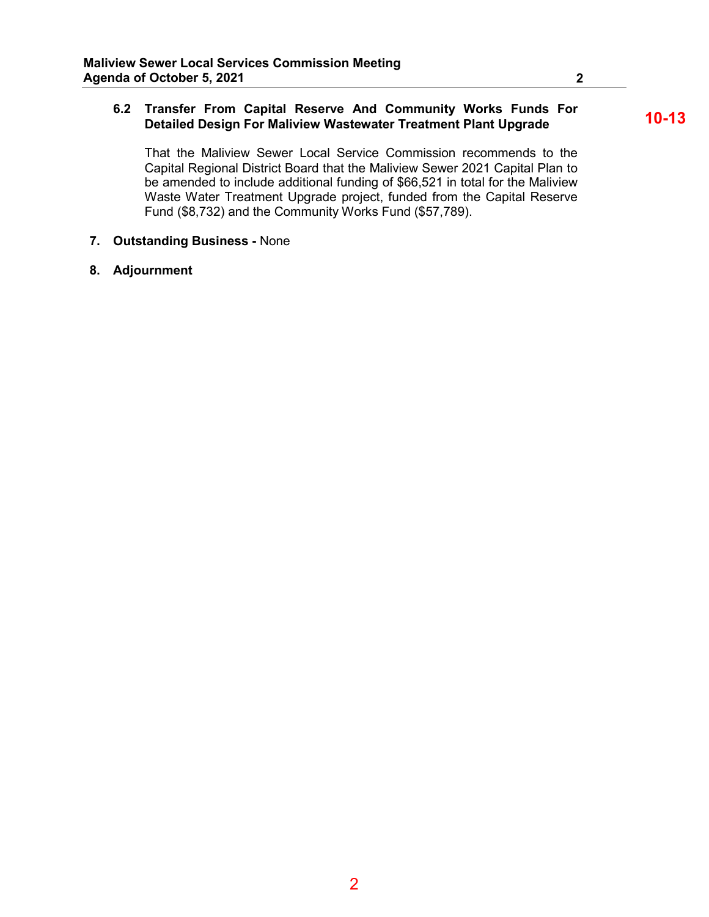## **6.2 Transfer From Capital Reserve And Community Works Funds For Detailed Design For Maliview Wastewater Treatment Plant Upgrade**

That the Maliview Sewer Local Service Commission recommends to the Capital Regional District Board that the Maliview Sewer 2021 Capital Plan to be amended to include additional funding of \$66,521 in total for the Maliview Waste Water Treatment Upgrade project, funded from the Capital Reserve Fund (\$8,732) and the Community Works Fund (\$57,789).

- **7. Outstanding Business -** None
- **8. Adjournment**

**10-13**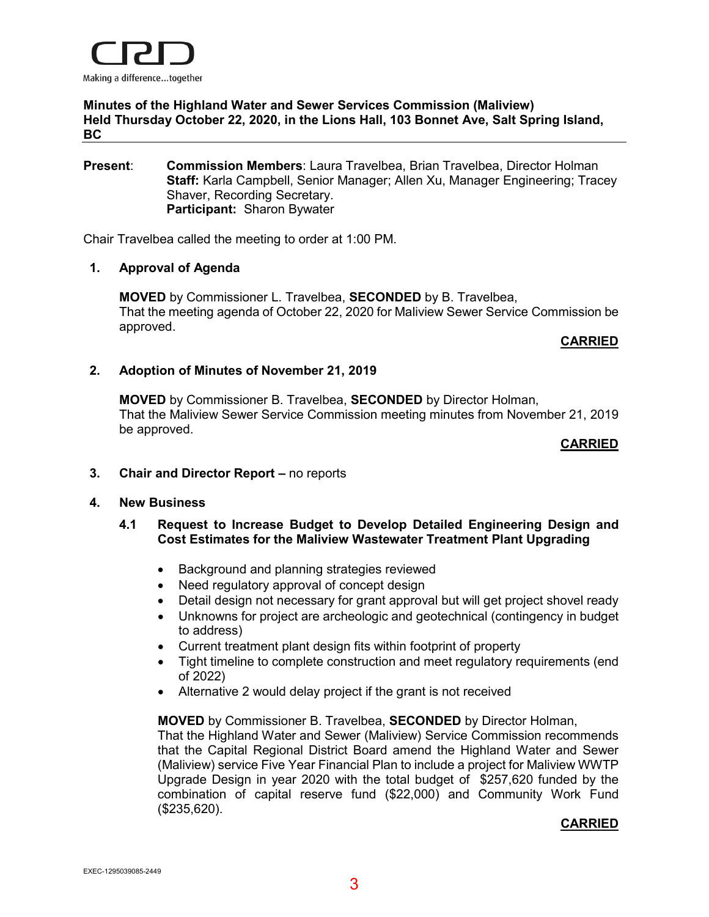

**Minutes of the Highland Water and Sewer Services Commission (Maliview) Held Thursday October 22, 2020, in the Lions Hall, 103 Bonnet Ave, Salt Spring Island, BC**

## **Present**: **Commission Members**: Laura Travelbea, Brian Travelbea, Director Holman **Staff:** Karla Campbell, Senior Manager; Allen Xu, Manager Engineering; Tracey Shaver, Recording Secretary. **Participant:** Sharon Bywater

Chair Travelbea called the meeting to order at 1:00 PM.

## **1. Approval of Agenda**

**MOVED** by Commissioner L. Travelbea, **SECONDED** by B. Travelbea, That the meeting agenda of October 22, 2020 for Maliview Sewer Service Commission be approved.

## **CARRIED**

## **2. Adoption of Minutes of November 21, 2019**

**MOVED** by Commissioner B. Travelbea, **SECONDED** by Director Holman, That the Maliview Sewer Service Commission meeting minutes from November 21, 2019 be approved.

## **CARRIED**

**3. Chair and Director Report –** no reports

## **4. New Business**

- **4.1 Request to Increase Budget to Develop Detailed Engineering Design and Cost Estimates for the Maliview Wastewater Treatment Plant Upgrading** 
	- Background and planning strategies reviewed
	- Need regulatory approval of concept design
	- Detail design not necessary for grant approval but will get project shovel ready
	- Unknowns for project are archeologic and geotechnical (contingency in budget to address)
	- Current treatment plant design fits within footprint of property
	- Tight timeline to complete construction and meet regulatory requirements (end of 2022)
	- Alternative 2 would delay project if the grant is not received

**MOVED** by Commissioner B. Travelbea, **SECONDED** by Director Holman,

That the Highland Water and Sewer (Maliview) Service Commission recommends that the Capital Regional District Board amend the Highland Water and Sewer (Maliview) service Five Year Financial Plan to include a project for Maliview WWTP Upgrade Design in year 2020 with the total budget of \$257,620 funded by the combination of capital reserve fund (\$22,000) and Community Work Fund (\$235,620).

## **CARRIED**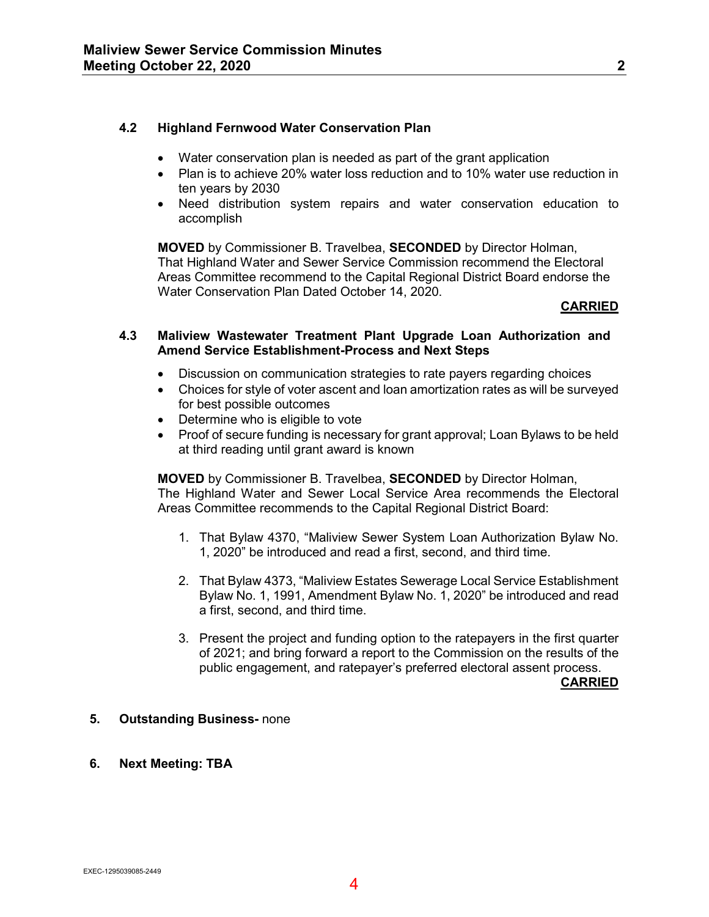## **4.2 Highland Fernwood Water Conservation Plan**

- Water conservation plan is needed as part of the grant application
- Plan is to achieve 20% water loss reduction and to 10% water use reduction in ten years by 2030
- Need distribution system repairs and water conservation education to accomplish

**MOVED** by Commissioner B. Travelbea, **SECONDED** by Director Holman, That Highland Water and Sewer Service Commission recommend the Electoral Areas Committee recommend to the Capital Regional District Board endorse the Water Conservation Plan Dated October 14, 2020.

## **CARRIED**

## **4.3 Maliview Wastewater Treatment Plant Upgrade Loan Authorization and Amend Service Establishment-Process and Next Steps**

- Discussion on communication strategies to rate payers regarding choices
- Choices for style of voter ascent and loan amortization rates as will be surveyed for best possible outcomes
- Determine who is eligible to vote
- Proof of secure funding is necessary for grant approval; Loan Bylaws to be held at third reading until grant award is known

**MOVED** by Commissioner B. Travelbea, **SECONDED** by Director Holman, The Highland Water and Sewer Local Service Area recommends the Electoral Areas Committee recommends to the Capital Regional District Board:

- 1. That Bylaw 4370, "Maliview Sewer System Loan Authorization Bylaw No. 1, 2020" be introduced and read a first, second, and third time.
- 2. That Bylaw 4373, "Maliview Estates Sewerage Local Service Establishment Bylaw No. 1, 1991, Amendment Bylaw No. 1, 2020" be introduced and read a first, second, and third time.
- 3. Present the project and funding option to the ratepayers in the first quarter of 2021; and bring forward a report to the Commission on the results of the public engagement, and ratepayer's preferred electoral assent process.

**CARRIED**

## **5. Outstanding Business-** none

**6. Next Meeting: TBA**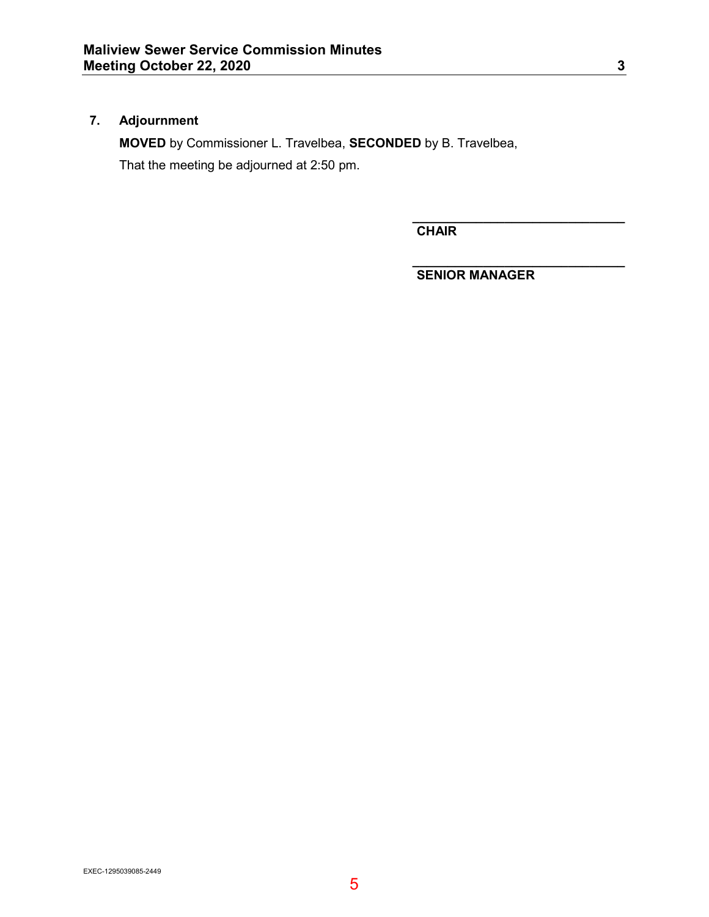## **7. Adjournment**

**MOVED** by Commissioner L. Travelbea, **SECONDED** by B. Travelbea,

That the meeting be adjourned at 2:50 pm.

**\_\_\_\_\_\_\_\_\_\_\_\_\_\_\_\_\_\_\_\_\_\_\_\_\_\_\_\_\_\_ CHAIR**

**\_\_\_\_\_\_\_\_\_\_\_\_\_\_\_\_\_\_\_\_\_\_\_\_\_\_\_\_\_\_ SENIOR MANAGER**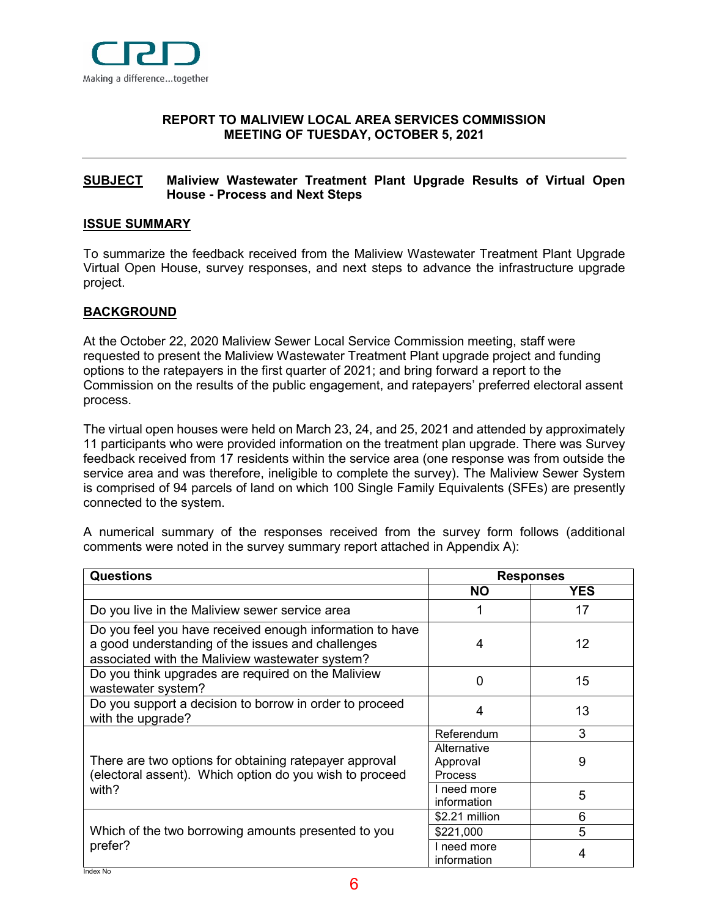

## <span id="page-5-0"></span>**[REPORT](#page-5-0) TO MALIVIEW LOCAL AREA SERVICES COMMISSION MEETING OF TUESDAY, OCTOBER 5, 2021**

## <span id="page-5-1"></span>**[SUBJECT](#page-5-1) Maliview Wastewater Treatment Plant Upgrade Results of Virtual Open House - Process and Next Steps**

## <span id="page-5-2"></span>**[ISSUE SUMMARY](#page-5-2)**

To summarize the feedback received from the Maliview Wastewater Treatment Plant Upgrade Virtual Open House, survey responses, and next steps to advance the infrastructure upgrade project.

## <span id="page-5-3"></span>**[BACKGROUND](#page-5-3)**

At the October 22, 2020 Maliview Sewer Local Service Commission meeting, staff were requested to present the Maliview Wastewater Treatment Plant upgrade project and funding options to the ratepayers in the first quarter of 2021; and bring forward a report to the Commission on the results of the public engagement, and ratepayers' preferred electoral assent process.

The virtual open houses were held on March 23, 24, and 25, 2021 and attended by approximately 11 participants who were provided information on the treatment plan upgrade. There was Survey feedback received from 17 residents within the service area (one response was from outside the service area and was therefore, ineligible to complete the survey). The Maliview Sewer System is comprised of 94 parcels of land on which 100 Single Family Equivalents (SFEs) are presently connected to the system.

A numerical summary of the responses received from the survey form follows (additional comments were noted in the survey summary report attached in Appendix A):

| <b>Questions</b>                                                                                                                                                 | <b>Responses</b>                          |            |
|------------------------------------------------------------------------------------------------------------------------------------------------------------------|-------------------------------------------|------------|
|                                                                                                                                                                  | <b>NO</b>                                 | <b>YES</b> |
| Do you live in the Maliview sewer service area                                                                                                                   |                                           | 17         |
| Do you feel you have received enough information to have<br>a good understanding of the issues and challenges<br>associated with the Maliview wastewater system? | 4                                         | 12         |
| Do you think upgrades are required on the Maliview<br>wastewater system?                                                                                         | <sup>0</sup>                              | 15         |
| Do you support a decision to borrow in order to proceed<br>with the upgrade?                                                                                     | 4                                         | 13         |
|                                                                                                                                                                  | Referendum                                | 3          |
| There are two options for obtaining ratepayer approval<br>(electoral assent). Which option do you wish to proceed                                                | Alternative<br>Approval<br><b>Process</b> | 9          |
| with?                                                                                                                                                            | I need more<br>information                | 5          |
|                                                                                                                                                                  | \$2.21 million                            | 6          |
| Which of the two borrowing amounts presented to you                                                                                                              | \$221,000                                 | 5          |
| prefer?                                                                                                                                                          | I need more<br>information                | 4          |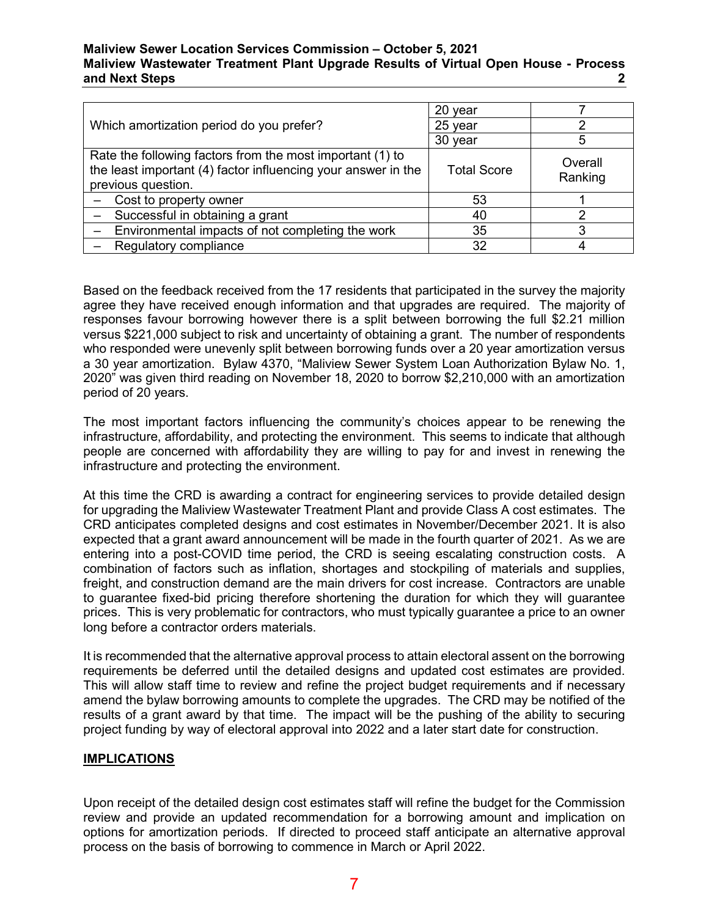## **Maliview Sewer Location Services Commission – October 5, 2021 Maliview Wastewater Treatment Plant Upgrade Results of Virtual Open House - Process and Next Steps 2**

|                                                                                                                                                  | 20 year            |                    |
|--------------------------------------------------------------------------------------------------------------------------------------------------|--------------------|--------------------|
| Which amortization period do you prefer?                                                                                                         | 25 year            |                    |
|                                                                                                                                                  | 30 year            | 5                  |
| Rate the following factors from the most important (1) to<br>the least important (4) factor influencing your answer in the<br>previous question. | <b>Total Score</b> | Overall<br>Ranking |
| Cost to property owner                                                                                                                           | 53                 |                    |
| Successful in obtaining a grant                                                                                                                  | 40                 |                    |
| Environmental impacts of not completing the work                                                                                                 | 35                 | ິ                  |
| Regulatory compliance                                                                                                                            | 32                 |                    |

Based on the feedback received from the 17 residents that participated in the survey the majority agree they have received enough information and that upgrades are required. The majority of responses favour borrowing however there is a split between borrowing the full \$2.21 million versus \$221,000 subject to risk and uncertainty of obtaining a grant. The number of respondents who responded were unevenly split between borrowing funds over a 20 year amortization versus a 30 year amortization. Bylaw 4370, "Maliview Sewer System Loan Authorization Bylaw No. 1, 2020" was given third reading on November 18, 2020 to borrow \$2,210,000 with an amortization period of 20 years.

The most important factors influencing the community's choices appear to be renewing the infrastructure, affordability, and protecting the environment. This seems to indicate that although people are concerned with affordability they are willing to pay for and invest in renewing the infrastructure and protecting the environment.

At this time the CRD is awarding a contract for engineering services to provide detailed design for upgrading the Maliview Wastewater Treatment Plant and provide Class A cost estimates. The CRD anticipates completed designs and cost estimates in November/December 2021. It is also expected that a grant award announcement will be made in the fourth quarter of 2021. As we are entering into a post-COVID time period, the CRD is seeing escalating construction costs. A combination of factors such as inflation, shortages and stockpiling of materials and supplies, freight, and construction demand are the main drivers for cost increase. Contractors are unable to guarantee fixed-bid pricing therefore shortening the duration for which they will guarantee prices. This is very problematic for contractors, who must typically guarantee a price to an owner long before a contractor orders materials.

It is recommended that the alternative approval process to attain electoral assent on the borrowing requirements be deferred until the detailed designs and updated cost estimates are provided. This will allow staff time to review and refine the project budget requirements and if necessary amend the bylaw borrowing amounts to complete the upgrades. The CRD may be notified of the results of a grant award by that time. The impact will be the pushing of the ability to securing project funding by way of electoral approval into 2022 and a later start date for construction.

## **IMPLICATIONS**

Upon receipt of the detailed design cost estimates staff will refine the budget for the Commission review and provide an updated recommendation for a borrowing amount and implication on options for amortization periods. If directed to proceed staff anticipate an alternative approval process on the basis of borrowing to commence in March or April 2022.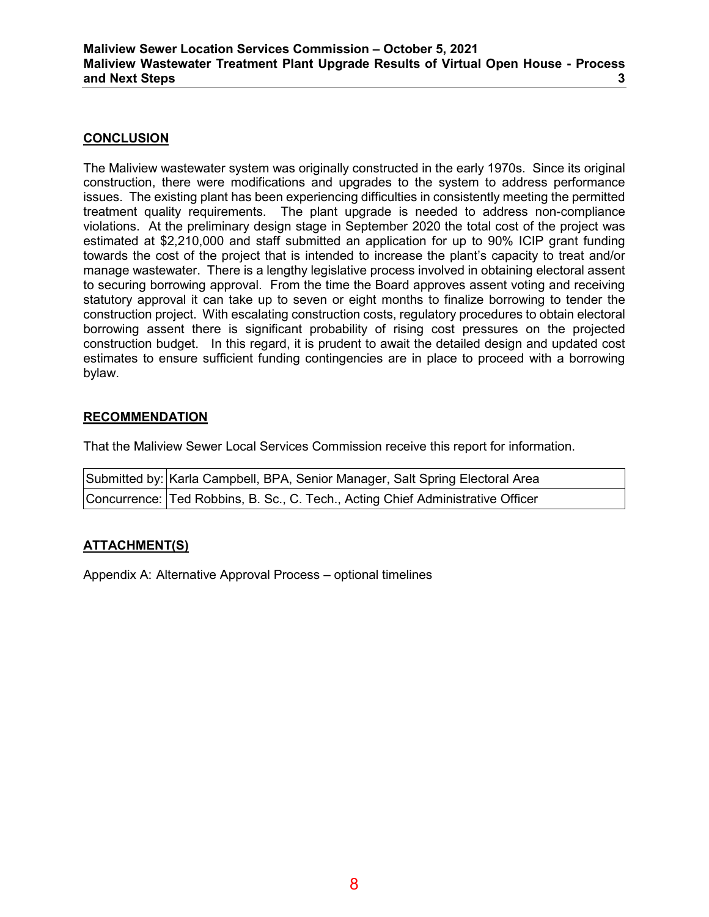## <span id="page-7-0"></span>**[CONCLUSION](#page-7-0)**

The Maliview wastewater system was originally constructed in the early 1970s. Since its original construction, there were modifications and upgrades to the system to address performance issues. The existing plant has been experiencing difficulties in consistently meeting the permitted treatment quality requirements. The plant upgrade is needed to address non-compliance violations. At the preliminary design stage in September 2020 the total cost of the project was estimated at \$2,210,000 and staff submitted an application for up to 90% ICIP grant funding towards the cost of the project that is intended to increase the plant's capacity to treat and/or manage wastewater. There is a lengthy legislative process involved in obtaining electoral assent to securing borrowing approval. From the time the Board approves assent voting and receiving statutory approval it can take up to seven or eight months to finalize borrowing to tender the construction project. With escalating construction costs, regulatory procedures to obtain electoral borrowing assent there is significant probability of rising cost pressures on the projected construction budget. In this regard, it is prudent to await the detailed design and updated cost estimates to ensure sufficient funding contingencies are in place to proceed with a borrowing bylaw.

## **RECOMMENDATION**

That the Maliview Sewer Local Services Commission receive this report for information.

| Submitted by: Karla Campbell, BPA, Senior Manager, Salt Spring Electoral Area   |
|---------------------------------------------------------------------------------|
| Concurrence: Ted Robbins, B. Sc., C. Tech., Acting Chief Administrative Officer |

## **ATTACHMENT(S)**

Appendix A: Alternative Approval Process – optional timelines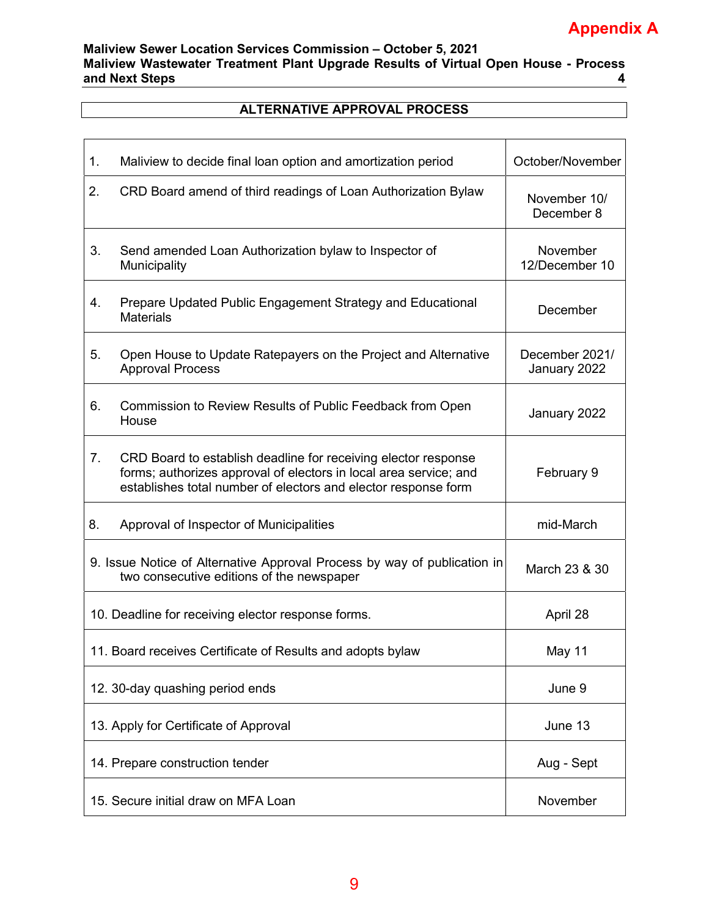# **Appendix A**

## **Maliview Sewer Location Services Commission – October 5, 2021 Maliview Wastewater Treatment Plant Upgrade Results of Virtual Open House - Process**  and Next Steps

## **ALTERNATIVE APPROVAL PROCESS**

| 1.                                                                                                                    | Maliview to decide final loan option and amortization period                                                                                                                                          | October/November               |
|-----------------------------------------------------------------------------------------------------------------------|-------------------------------------------------------------------------------------------------------------------------------------------------------------------------------------------------------|--------------------------------|
| 2.                                                                                                                    | CRD Board amend of third readings of Loan Authorization Bylaw                                                                                                                                         | November 10/<br>December 8     |
| 3.                                                                                                                    | Send amended Loan Authorization bylaw to Inspector of<br>Municipality                                                                                                                                 | November<br>12/December 10     |
| 4.                                                                                                                    | Prepare Updated Public Engagement Strategy and Educational<br><b>Materials</b>                                                                                                                        | December                       |
| 5.                                                                                                                    | Open House to Update Ratepayers on the Project and Alternative<br><b>Approval Process</b>                                                                                                             | December 2021/<br>January 2022 |
| 6.                                                                                                                    | Commission to Review Results of Public Feedback from Open<br>House                                                                                                                                    | January 2022                   |
| 7.                                                                                                                    | CRD Board to establish deadline for receiving elector response<br>forms; authorizes approval of electors in local area service; and<br>establishes total number of electors and elector response form | February 9                     |
| 8.                                                                                                                    | Approval of Inspector of Municipalities                                                                                                                                                               | mid-March                      |
| 9. Issue Notice of Alternative Approval Process by way of publication in<br>two consecutive editions of the newspaper |                                                                                                                                                                                                       | March 23 & 30                  |
| 10. Deadline for receiving elector response forms.                                                                    |                                                                                                                                                                                                       | April 28                       |
|                                                                                                                       | 11. Board receives Certificate of Results and adopts bylaw                                                                                                                                            | May 11                         |
|                                                                                                                       | 12. 30-day quashing period ends                                                                                                                                                                       | June 9                         |
| 13. Apply for Certificate of Approval                                                                                 |                                                                                                                                                                                                       | June 13                        |
| 14. Prepare construction tender                                                                                       |                                                                                                                                                                                                       | Aug - Sept                     |
| 15. Secure initial draw on MFA Loan                                                                                   |                                                                                                                                                                                                       | November                       |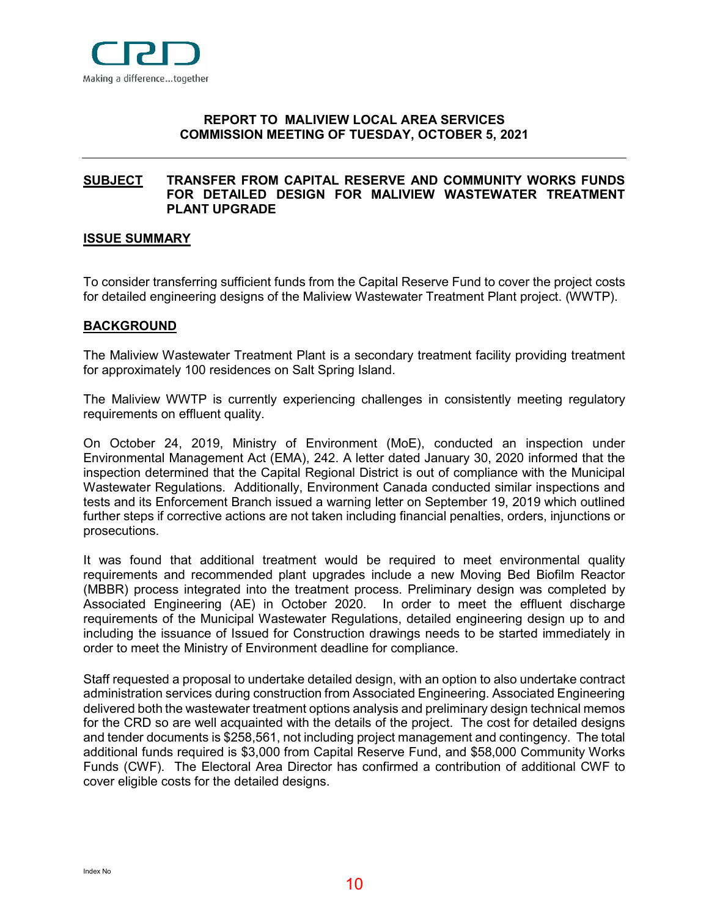

## <span id="page-9-0"></span>**[RE](#page-9-0)PORT TO MALIVIEW LOCAL AREA SERVICES COMMISSION MEETING OF TUESDAY, OCTOBER 5, 2021**

## <span id="page-9-1"></span>**[SUBJECT](#page-9-1) TRANSFER FROM CAPITAL RESERVE AND COMMUNITY WORKS FUNDS FOR DETAILED DESIGN FOR MALIVIEW WASTEWATER TREATMENT PLANT UPGRADE**

## <span id="page-9-2"></span>**[ISSUE SUMMARY](#page-9-2)**

To consider transferring sufficient funds from the Capital Reserve Fund to cover the project costs for detailed engineering designs of the Maliview Wastewater Treatment Plant project. (WWTP).

#### <span id="page-9-3"></span>**[BACKGROUND](#page-9-3)**

The Maliview Wastewater Treatment Plant is a secondary treatment facility providing treatment for approximately 100 residences on Salt Spring Island.

The Maliview WWTP is currently experiencing challenges in consistently meeting regulatory requirements on effluent quality.

On October 24, 2019, Ministry of Environment (MoE), conducted an inspection under Environmental Management Act (EMA), 242. A letter dated January 30, 2020 informed that the inspection determined that the Capital Regional District is out of compliance with the Municipal Wastewater Regulations. Additionally, Environment Canada conducted similar inspections and tests and its Enforcement Branch issued a warning letter on September 19, 2019 which outlined further steps if corrective actions are not taken including financial penalties, orders, injunctions or prosecutions.

It was found that additional treatment would be required to meet environmental quality requirements and recommended plant upgrades include a new Moving Bed Biofilm Reactor (MBBR) process integrated into the treatment process. Preliminary design was completed by Associated Engineering (AE) in October 2020. In order to meet the effluent discharge requirements of the Municipal Wastewater Regulations, detailed engineering design up to and including the issuance of Issued for Construction drawings needs to be started immediately in order to meet the Ministry of Environment deadline for compliance.

Staff requested a proposal to undertake detailed design, with an option to also undertake contract administration services during construction from Associated Engineering. Associated Engineering delivered both the wastewater treatment options analysis and preliminary design technical memos for the CRD so are well acquainted with the details of the project. The cost for detailed designs and tender documents is \$258,561, not including project management and contingency. The total additional funds required is \$3,000 from Capital Reserve Fund, and \$58,000 Community Works Funds (CWF). The Electoral Area Director has confirmed a contribution of additional CWF to cover eligible costs for the detailed designs.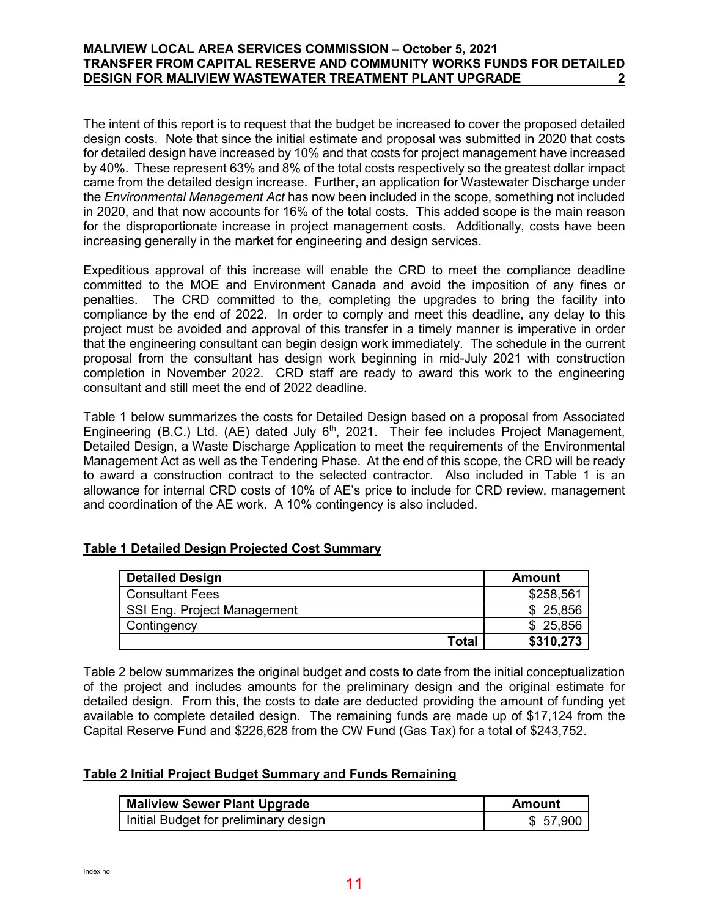## **MALIVIEW LOCAL AREA SERVICES COMMISSION – October 5, 2021 TRANSFER FROM CAPITAL RESERVE AND COMMUNITY WORKS FUNDS FOR DETAILED DESIGN FOR MALIVIEW WASTEWATER TREATMENT PLANT UPGRADE 2**

The intent of this report is to request that the budget be increased to cover the proposed detailed design costs. Note that since the initial estimate and proposal was submitted in 2020 that costs for detailed design have increased by 10% and that costs for project management have increased by 40%. These represent 63% and 8% of the total costs respectively so the greatest dollar impact came from the detailed design increase. Further, an application for Wastewater Discharge under the *Environmental Management Act* has now been included in the scope, something not included in 2020, and that now accounts for 16% of the total costs. This added scope is the main reason for the disproportionate increase in project management costs. Additionally, costs have been increasing generally in the market for engineering and design services.

Expeditious approval of this increase will enable the CRD to meet the compliance deadline committed to the MOE and Environment Canada and avoid the imposition of any fines or penalties. The CRD committed to the, completing the upgrades to bring the facility into compliance by the end of 2022. In order to comply and meet this deadline, any delay to this project must be avoided and approval of this transfer in a timely manner is imperative in order that the engineering consultant can begin design work immediately. The schedule in the current proposal from the consultant has design work beginning in mid-July 2021 with construction completion in November 2022. CRD staff are ready to award this work to the engineering consultant and still meet the end of 2022 deadline.

Table 1 below summarizes the costs for Detailed Design based on a proposal from Associated Engineering (B.C.) Ltd. (AE) dated July  $6<sup>th</sup>$ , 2021. Their fee includes Project Management, Detailed Design, a Waste Discharge Application to meet the requirements of the Environmental Management Act as well as the Tendering Phase. At the end of this scope, the CRD will be ready to award a construction contract to the selected contractor. Also included in Table 1 is an allowance for internal CRD costs of 10% of AE's price to include for CRD review, management and coordination of the AE work. A 10% contingency is also included.

## **Table 1 Detailed Design Projected Cost Summary**

| <b>Detailed Design</b>      | <b>Amount</b> |
|-----------------------------|---------------|
| <b>Consultant Fees</b>      | \$258,561     |
| SSI Eng. Project Management | \$25,856      |
| Contingency                 | \$25,856      |
| <b>Total</b>                | \$310,273     |

Table 2 below summarizes the original budget and costs to date from the initial conceptualization of the project and includes amounts for the preliminary design and the original estimate for detailed design. From this, the costs to date are deducted providing the amount of funding yet available to complete detailed design. The remaining funds are made up of \$17,124 from the Capital Reserve Fund and \$226,628 from the CW Fund (Gas Tax) for a total of \$243,752.

## **Table 2 Initial Project Budget Summary and Funds Remaining**

| <b>Maliview Sewer Plant Upgrade</b>   | Amount   |
|---------------------------------------|----------|
| Initial Budget for preliminary design | \$57,900 |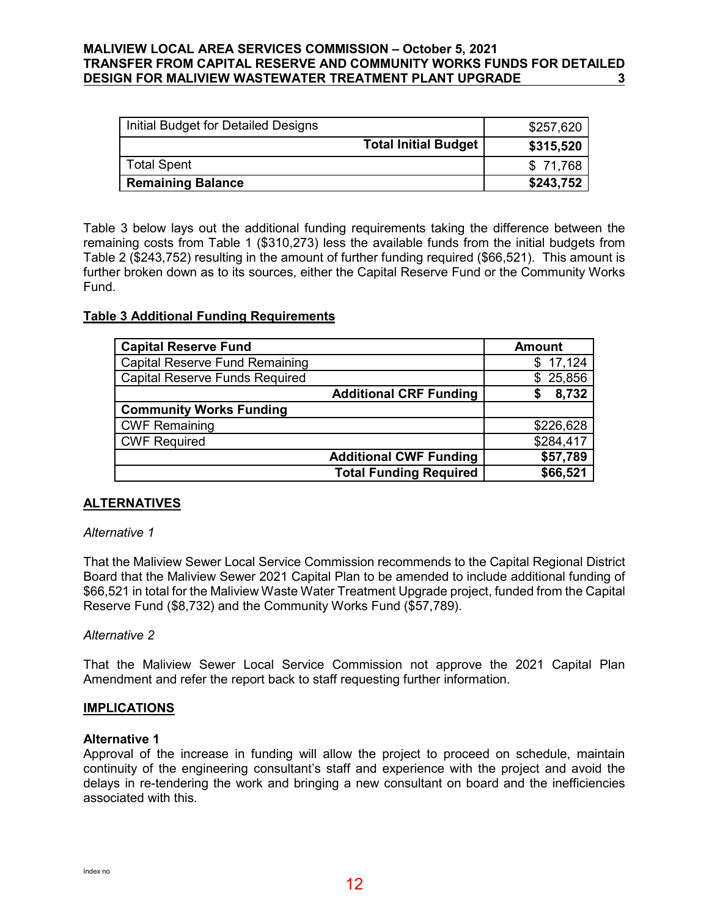## **MALIVIEW LOCAL AREA SERVICES COMMISSION – October 5, 2021 TRANSFER FROM CAPITAL RESERVE AND COMMUNITY WORKS FUNDS FOR DETAILED DESIGN FOR MALIVIEW WASTEWATER TREATMENT PLANT UPGRADE 3**

| Initial Budget for Detailed Designs |                             | \$257,620 |
|-------------------------------------|-----------------------------|-----------|
|                                     | <b>Total Initial Budget</b> | \$315,520 |
| <b>Total Spent</b>                  |                             | \$71,768  |
| <b>Remaining Balance</b>            |                             | \$243,752 |

Table 3 below lays out the additional funding requirements taking the difference between the remaining costs from Table 1 (\$310,273) less the available funds from the initial budgets from Table 2 (\$243,752) resulting in the amount of further funding required (\$66,521). This amount is further broken down as to its sources, either the Capital Reserve Fund or the Community Works Fund.

## **Table 3 Additional Funding Requirements**

| <b>Capital Reserve Fund</b>           |                               | <b>Amount</b> |
|---------------------------------------|-------------------------------|---------------|
| <b>Capital Reserve Fund Remaining</b> |                               | \$17,124      |
| <b>Capital Reserve Funds Required</b> |                               | \$25,856      |
|                                       | <b>Additional CRF Funding</b> | 8,732         |
| <b>Community Works Funding</b>        |                               |               |
| <b>CWF Remaining</b>                  |                               | \$226,628     |
| <b>CWF Required</b>                   |                               | \$284,417     |
|                                       | <b>Additional CWF Funding</b> | \$57,789      |
|                                       | <b>Total Funding Required</b> | \$66,521      |

## <span id="page-11-0"></span>**[ALTERNATIVES](#page-11-0)**

## *Alternative 1*

That the Maliview Sewer Local Service Commission recommends to the Capital Regional District Board that the Maliview Sewer 2021 Capital Plan to be amended to include additional funding of \$66,521 in total for the Maliview Waste Water Treatment Upgrade project, funded from the Capital Reserve Fund (\$8,732) and the Community Works Fund (\$57,789).

## *Alternative 2*

That the Maliview Sewer Local Service Commission not approve the 2021 Capital Plan Amendment and refer the report back to staff requesting further information.

## <span id="page-11-1"></span>**[IMPLICATIONS](#page-11-1)**

## **Alternative 1**

Approval of the increase in funding will allow the project to proceed on schedule, maintain continuity of the engineering consultant's staff and experience with the project and avoid the delays in re-tendering the work and bringing a new consultant on board and the inefficiencies associated with this.